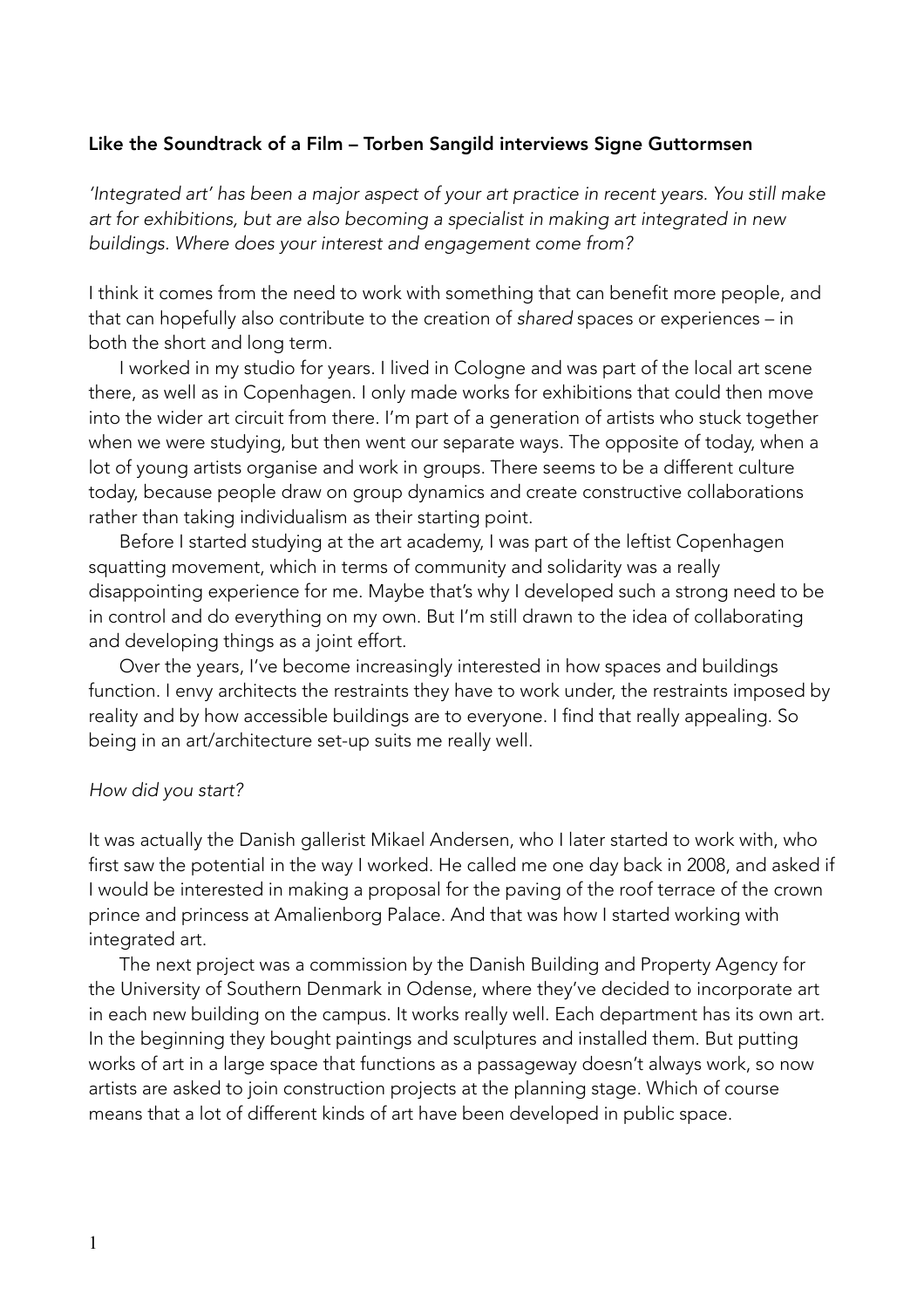#### Like the Soundtrack of a Film – Torben Sangild interviews Signe Guttormsen

*'Integrated art' has been a major aspect of your art practice in recent years. You still make art for exhibitions, but are also becoming a specialist in making art integrated in new buildings. Where does your interest and engagement come from?* 

I think it comes from the need to work with something that can benefit more people, and that can hopefully also contribute to the creation of *shared* spaces or experiences – in both the short and long term.

 I worked in my studio for years. I lived in Cologne and was part of the local art scene there, as well as in Copenhagen. I only made works for exhibitions that could then move into the wider art circuit from there. I'm part of a generation of artists who stuck together when we were studying, but then went our separate ways. The opposite of today, when a lot of young artists organise and work in groups. There seems to be a different culture today, because people draw on group dynamics and create constructive collaborations rather than taking individualism as their starting point.

Before I started studying at the art academy, I was part of the leftist Copenhagen squatting movement, which in terms of community and solidarity was a really disappointing experience for me. Maybe that's why I developed such a strong need to be in control and do everything on my own. But I'm still drawn to the idea of collaborating and developing things as a joint effort.

 Over the years, I've become increasingly interested in how spaces and buildings function. I envy architects the restraints they have to work under, the restraints imposed by reality and by how accessible buildings are to everyone. I find that really appealing. So being in an art/architecture set-up suits me really well.

#### *How did you start?*

It was actually the Danish gallerist Mikael Andersen, who I later started to work with, who first saw the potential in the way I worked. He called me one day back in 2008, and asked if I would be interested in making a proposal for the paving of the roof terrace of the crown prince and princess at Amalienborg Palace. And that was how I started working with integrated art.

 The next project was a commission by the Danish Building and Property Agency for the University of Southern Denmark in Odense, where they've decided to incorporate art in each new building on the campus. It works really well. Each department has its own art. In the beginning they bought paintings and sculptures and installed them. But putting works of art in a large space that functions as a passageway doesn't always work, so now artists are asked to join construction projects at the planning stage. Which of course means that a lot of different kinds of art have been developed in public space.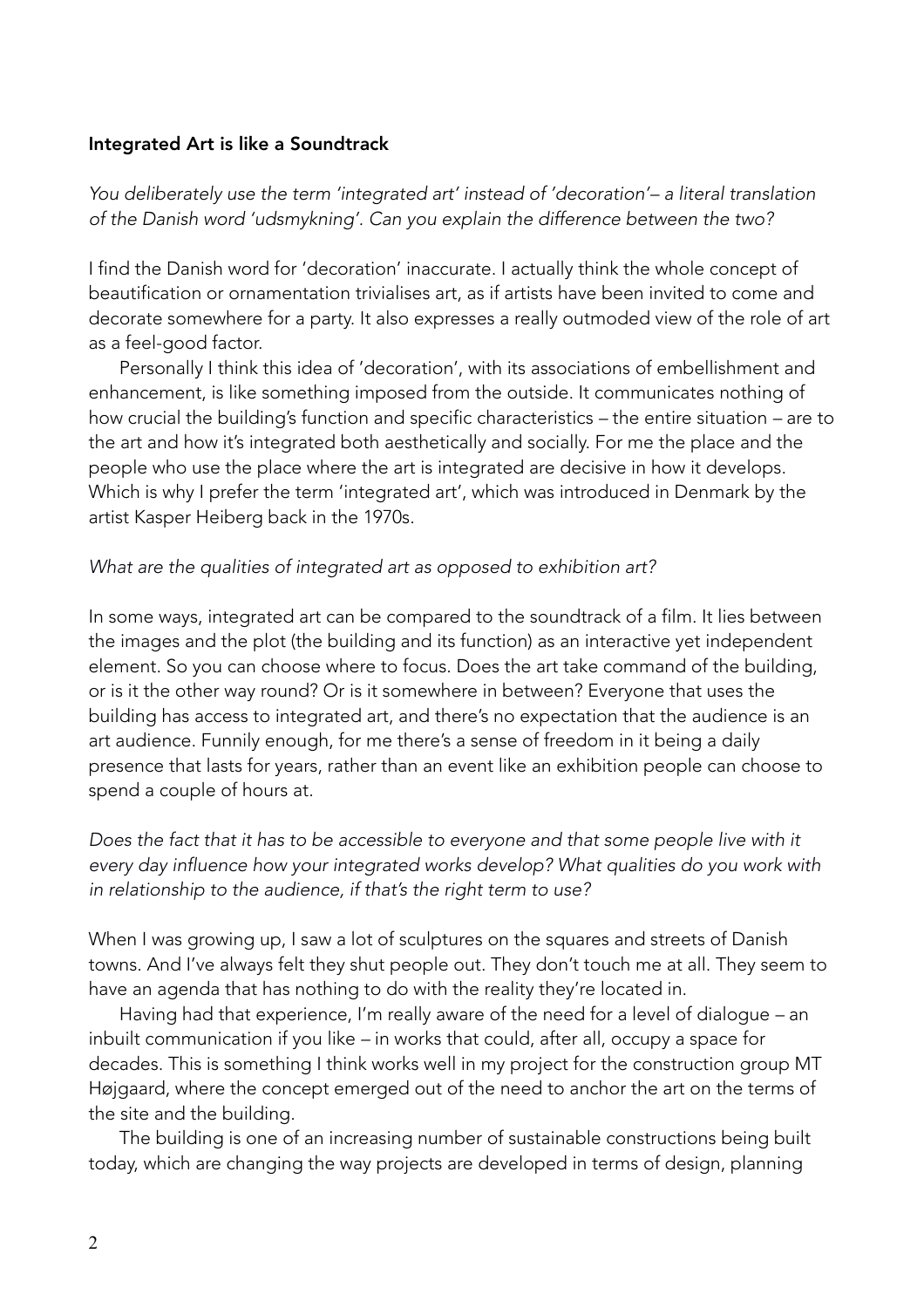### Integrated Art is like a Soundtrack

*You deliberately use the term 'integrated art' instead of 'decoration'– a literal translation of the Danish word 'udsmykning'. Can you explain the difference between the two?* 

I find the Danish word for 'decoration' inaccurate. I actually think the whole concept of beautification or ornamentation trivialises art, as if artists have been invited to come and decorate somewhere for a party. It also expresses a really outmoded view of the role of art as a feel-good factor.

 Personally I think this idea of 'decoration', with its associations of embellishment and enhancement, is like something imposed from the outside. It communicates nothing of how crucial the building's function and specific characteristics *–* the entire situation *–* are to the art and how it's integrated both aesthetically and socially. For me the place and the people who use the place where the art is integrated are decisive in how it develops. Which is why I prefer the term 'integrated art', which was introduced in Denmark by the artist Kasper Heiberg back in the 1970s.

### *What are the qualities of integrated art as opposed to exhibition art?*

In some ways, integrated art can be compared to the soundtrack of a film. It lies between the images and the plot (the building and its function) as an interactive yet independent element. So you can choose where to focus. Does the art take command of the building, or is it the other way round? Or is it somewhere in between? Everyone that uses the building has access to integrated art, and there's no expectation that the audience is an art audience. Funnily enough, for me there's a sense of freedom in it being a daily presence that lasts for years, rather than an event like an exhibition people can choose to spend a couple of hours at.

Does the fact that it has to be accessible to everyone and that some people live with it *every day influence how your integrated works develop? What qualities do you work with in relationship to the audience, if that's the right term to use?* 

When I was growing up, I saw a lot of sculptures on the squares and streets of Danish towns. And I've always felt they shut people out. They don't touch me at all. They seem to have an agenda that has nothing to do with the reality they're located in.

 Having had that experience, I'm really aware of the need for a level of dialogue *–* an inbuilt communication if you like *–* in works that could, after all, occupy a space for decades. This is something I think works well in my project for the construction group MT Højgaard, where the concept emerged out of the need to anchor the art on the terms of the site and the building.

 The building is one of an increasing number of sustainable constructions being built today, which are changing the way projects are developed in terms of design, planning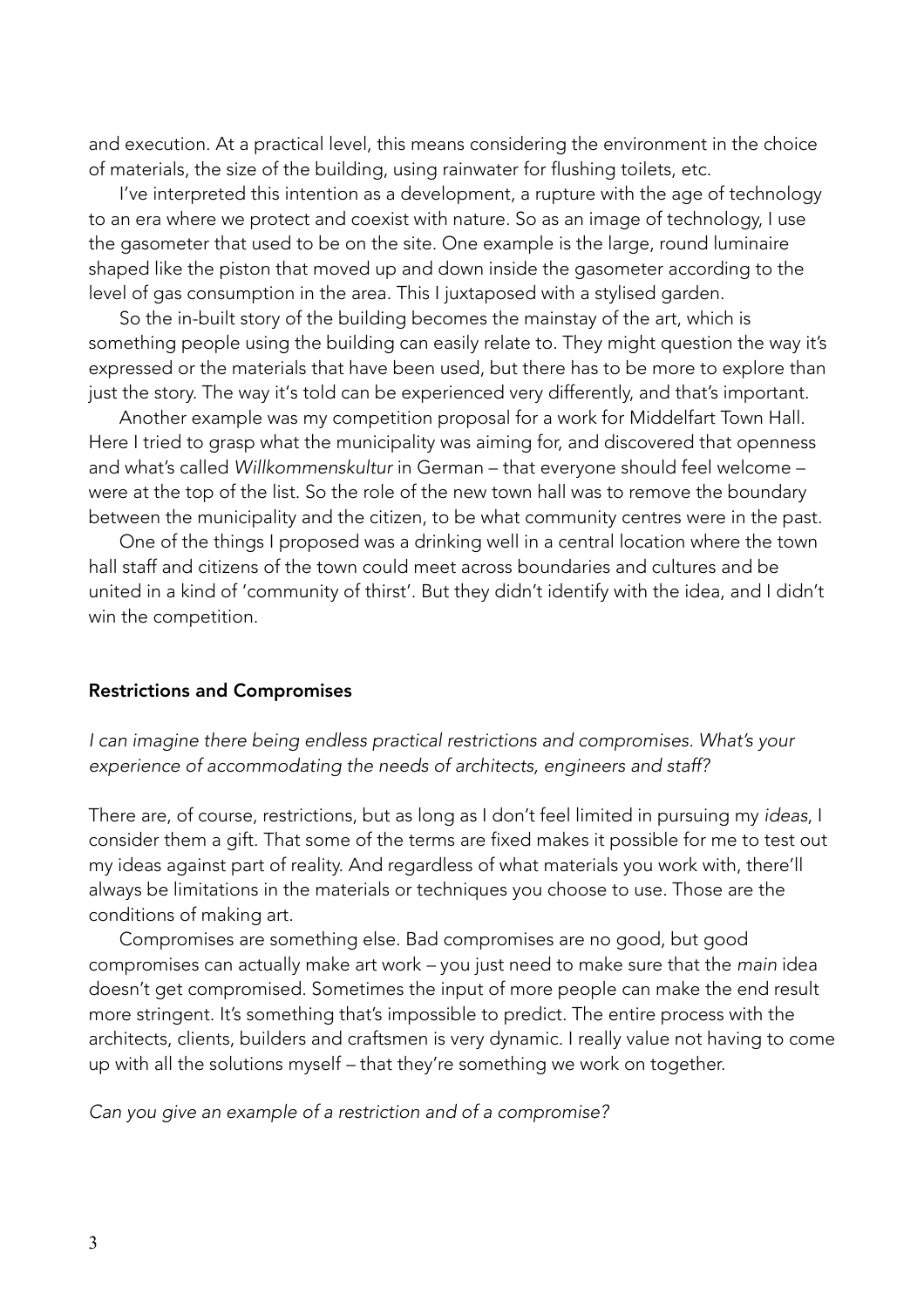and execution. At a practical level, this means considering the environment in the choice of materials, the size of the building, using rainwater for flushing toilets, etc.

 I've interpreted this intention as a development, a rupture with the age of technology to an era where we protect and coexist with nature. So as an image of technology, I use the gasometer that used to be on the site. One example is the large, round luminaire shaped like the piston that moved up and down inside the gasometer according to the level of gas consumption in the area. This I juxtaposed with a stylised garden.

So the in-built story of the building becomes the mainstay of the art, which is something people using the building can easily relate to. They might question the way it's expressed or the materials that have been used, but there has to be more to explore than just the story. The way it's told can be experienced very differently, and that's important.

 Another example was my competition proposal for a work for Middelfart Town Hall. Here I tried to grasp what the municipality was aiming for, and discovered that openness and what's called *Willkommenskultur* in German – that everyone should feel welcome – were at the top of the list. So the role of the new town hall was to remove the boundary between the municipality and the citizen, to be what community centres were in the past.

 One of the things I proposed was a drinking well in a central location where the town hall staff and citizens of the town could meet across boundaries and cultures and be united in a kind of 'community of thirst'. But they didn't identify with the idea, and I didn't win the competition.

#### Restrictions and Compromises

*I can imagine there being endless practical restrictions and compromises. What's your experience of accommodating the needs of architects, engineers and staff?*

There are, of course, restrictions, but as long as I don't feel limited in pursuing my *ideas*, I consider them a gift. That some of the terms are fixed makes it possible for me to test out my ideas against part of reality. And regardless of what materials you work with, there'll always be limitations in the materials or techniques you choose to use. Those are the conditions of making art.

 Compromises are something else. Bad compromises are no good, but good compromises can actually make art work *–* you just need to make sure that the *main* idea doesn't get compromised. Sometimes the input of more people can make the end result more stringent. It's something that's impossible to predict. The entire process with the architects, clients, builders and craftsmen is very dynamic. I really value not having to come up with all the solutions myself *–* that they're something we work on together.

*Can you give an example of a restriction and of a compromise?*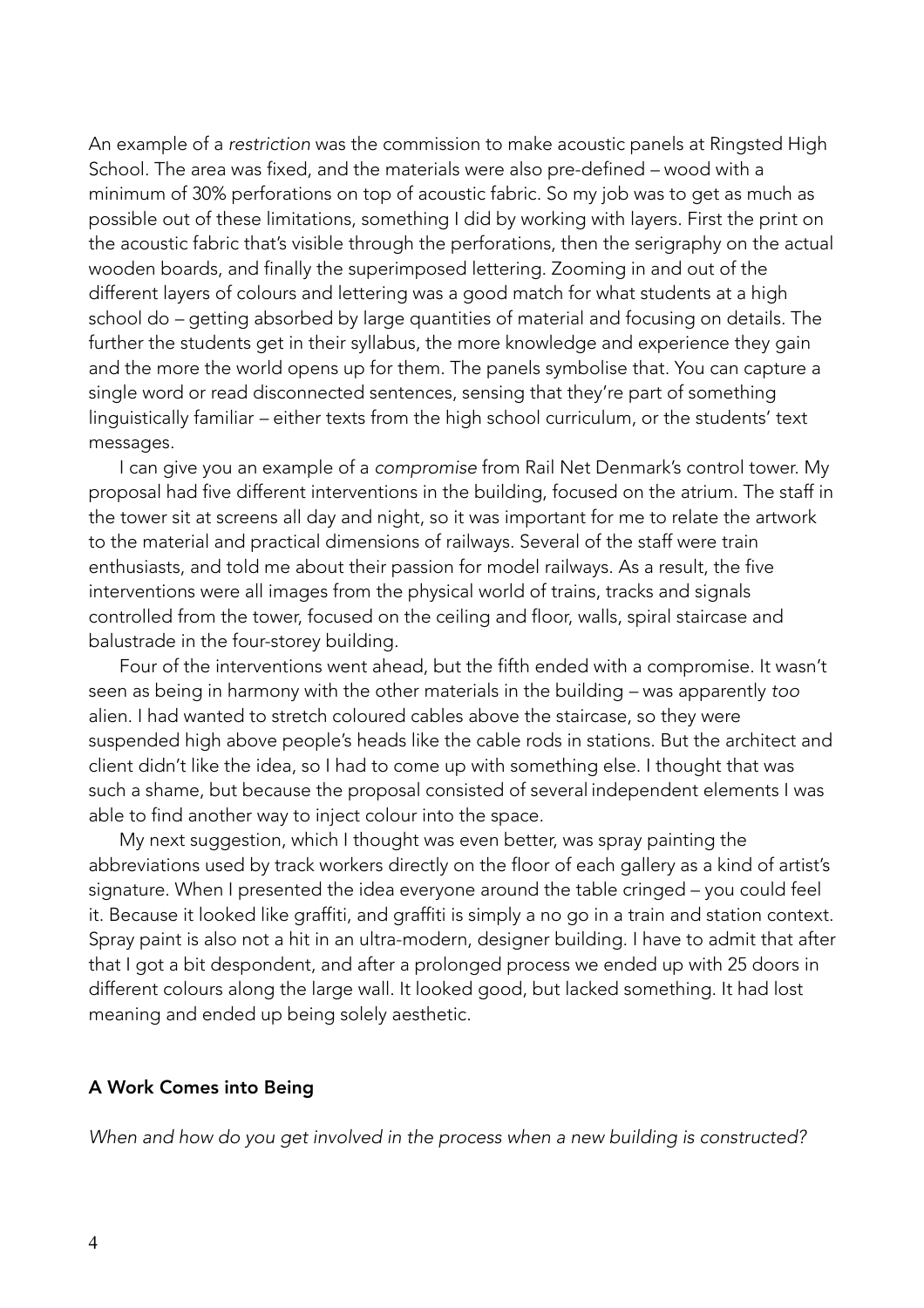An example of a *restriction* was the commission to make acoustic panels at Ringsted High School. The area was fixed, and the materials were also pre-defined *–* wood with a minimum of 30% perforations on top of acoustic fabric. So my job was to get as much as possible out of these limitations, something I did by working with layers. First the print on the acoustic fabric that's visible through the perforations, then the serigraphy on the actual wooden boards, and finally the superimposed lettering. Zooming in and out of the different layers of colours and lettering was a good match for what students at a high school do *–* getting absorbed by large quantities of material and focusing on details. The further the students get in their syllabus, the more knowledge and experience they gain and the more the world opens up for them. The panels symbolise that. You can capture a single word or read disconnected sentences, sensing that they're part of something linguistically familiar *–* either texts from the high school curriculum, or the students' text messages.

 I can give you an example of a *compromise* from Rail Net Denmark's control tower. My proposal had five different interventions in the building, focused on the atrium. The staff in the tower sit at screens all day and night, so it was important for me to relate the artwork to the material and practical dimensions of railways. Several of the staff were train enthusiasts, and told me about their passion for model railways. As a result, the five interventions were all images from the physical world of trains, tracks and signals controlled from the tower, focused on the ceiling and floor, walls, spiral staircase and balustrade in the four-storey building.

Four of the interventions went ahead, but the fifth ended with a compromise. It wasn't seen as being in harmony with the other materials in the building *–* was apparently *too* alien. I had wanted to stretch coloured cables above the staircase, so they were suspended high above people's heads like the cable rods in stations. But the architect and client didn't like the idea, so I had to come up with something else. I thought that was such a shame, but because the proposal consisted of several independent elements I was able to find another way to inject colour into the space.

 My next suggestion, which I thought was even better, was spray painting the abbreviations used by track workers directly on the floor of each gallery as a kind of artist's signature. When I presented the idea everyone around the table cringed – you could feel it. Because it looked like graffiti, and graffiti is simply a no go in a train and station context. Spray paint is also not a hit in an ultra-modern, designer building. I have to admit that after that I got a bit despondent, and after a prolonged process we ended up with 25 doors in different colours along the large wall. It looked good, but lacked something. It had lost meaning and ended up being solely aesthetic.

#### A Work Comes into Being

*When and how do you get involved in the process when a new building is constructed?*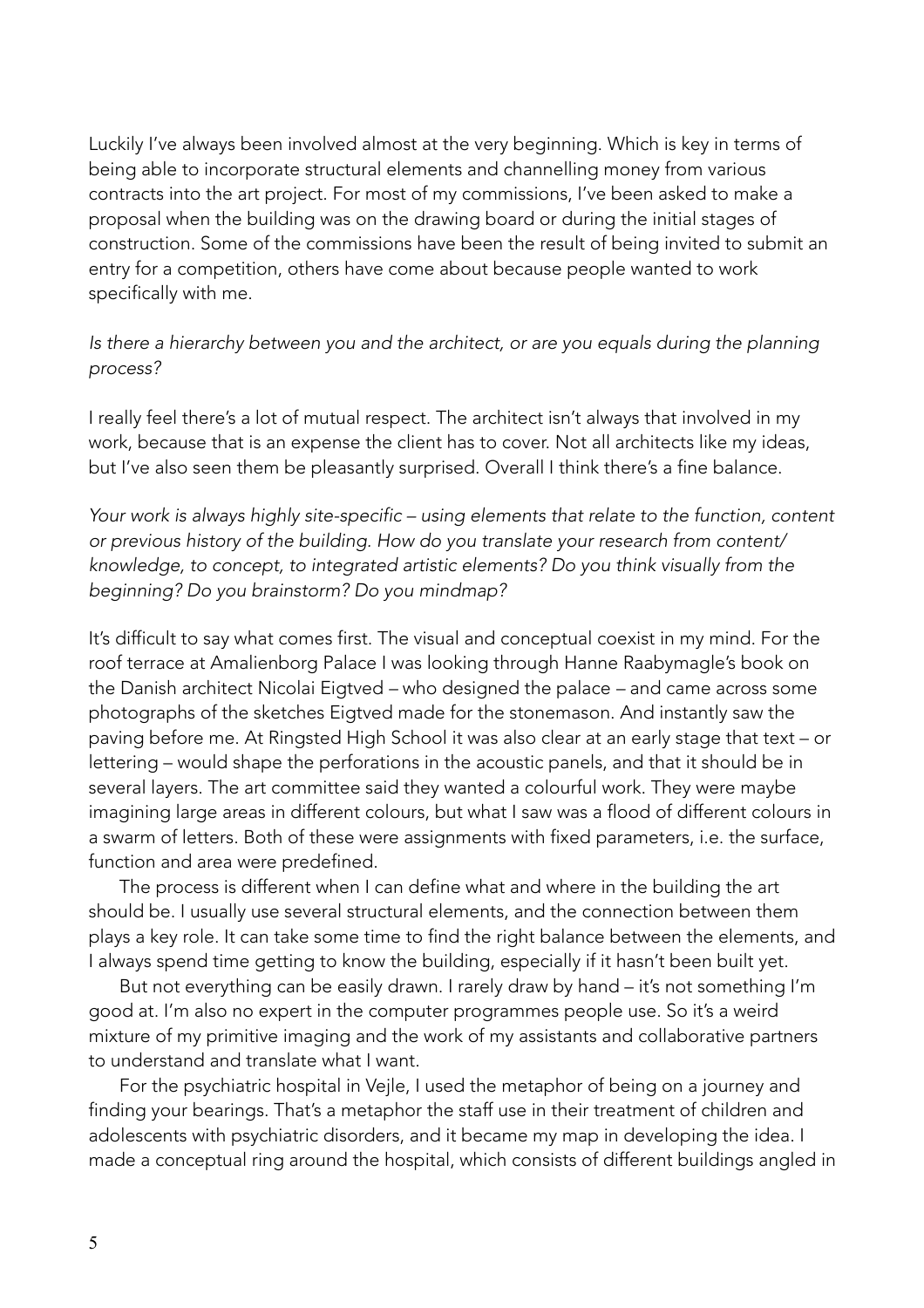Luckily I've always been involved almost at the very beginning. Which is key in terms of being able to incorporate structural elements and channelling money from various contracts into the art project. For most of my commissions, I've been asked to make a proposal when the building was on the drawing board or during the initial stages of construction. Some of the commissions have been the result of being invited to submit an entry for a competition, others have come about because people wanted to work specifically with me.

Is there a hierarchy between you and the architect, or are you equals during the planning *process?* 

I really feel there's a lot of mutual respect. The architect isn't always that involved in my work, because that is an expense the client has to cover. Not all architects like my ideas, but I've also seen them be pleasantly surprised. Overall I think there's a fine balance.

*Your work is always highly site-specific – using elements that relate to the function, content or previous history of the building. How do you translate your research from content/ knowledge, to concept, to integrated artistic elements? Do you think visually from the beginning? Do you brainstorm? Do you mindmap?*

It's difficult to say what comes first. The visual and conceptual coexist in my mind. For the roof terrace at Amalienborg Palace I was looking through Hanne Raabymagle's book on the Danish architect Nicolai Eigtved *–* who designed the palace *–* and came across some photographs of the sketches Eigtved made for the stonemason. And instantly saw the paving before me. At Ringsted High School it was also clear at an early stage that text – or lettering – would shape the perforations in the acoustic panels, and that it should be in several layers. The art committee said they wanted a colourful work. They were maybe imagining large areas in different colours, but what I saw was a flood of different colours in a swarm of letters. Both of these were assignments with fixed parameters, i.e. the surface, function and area were predefined.

 The process is different when I can define what and where in the building the art should be. I usually use several structural elements, and the connection between them plays a key role. It can take some time to find the right balance between the elements, and I always spend time getting to know the building, especially if it hasn't been built yet.

 But not everything can be easily drawn. I rarely draw by hand – it's not something I'm good at. I'm also no expert in the computer programmes people use. So it's a weird mixture of my primitive imaging and the work of my assistants and collaborative partners to understand and translate what I want.

 For the psychiatric hospital in Vejle, I used the metaphor of being on a journey and finding your bearings. That's a metaphor the staff use in their treatment of children and adolescents with psychiatric disorders, and it became my map in developing the idea. I made a conceptual ring around the hospital, which consists of different buildings angled in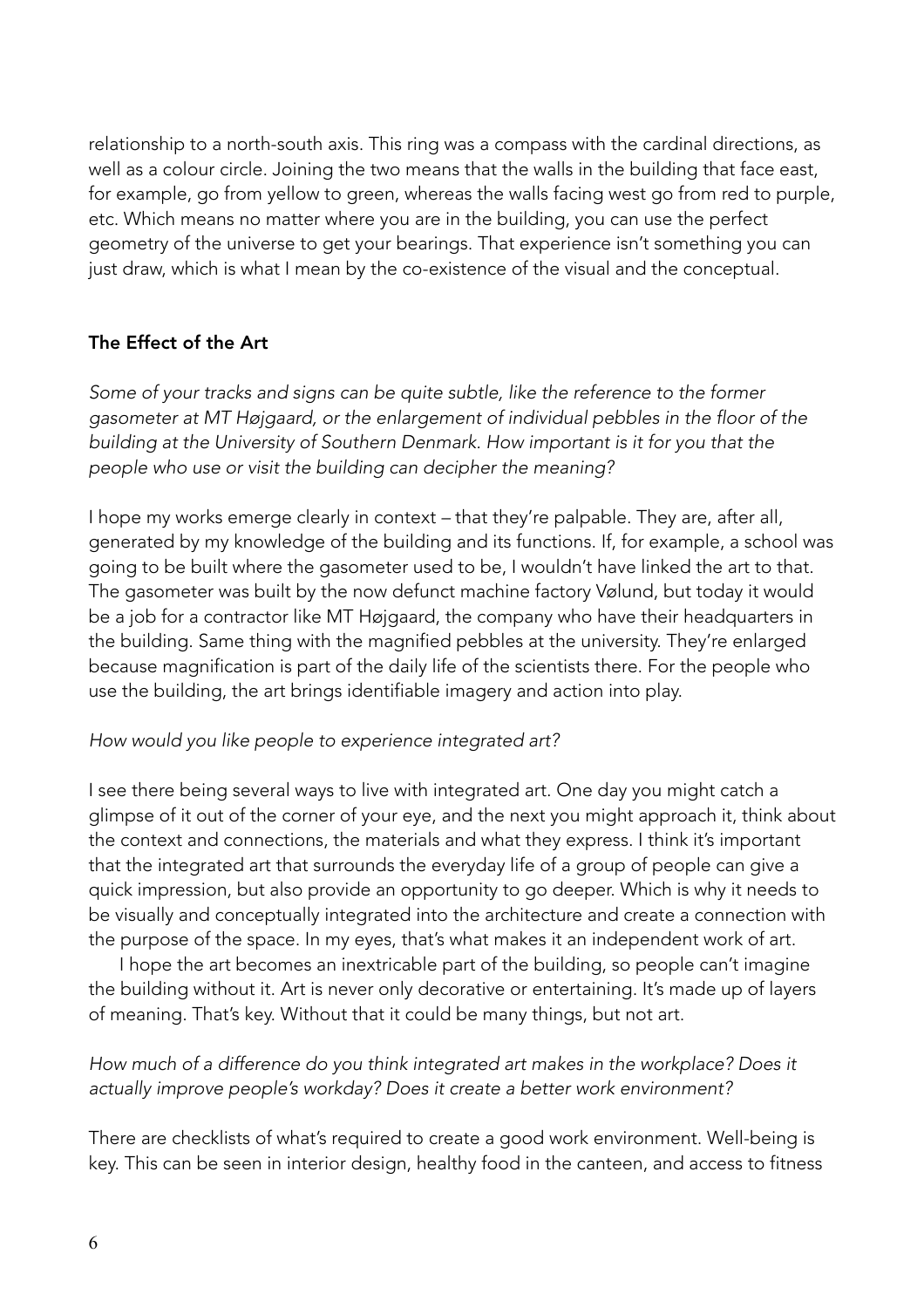relationship to a north-south axis. This ring was a compass with the cardinal directions, as well as a colour circle. Joining the two means that the walls in the building that face east, for example, go from yellow to green, whereas the walls facing west go from red to purple, etc. Which means no matter where you are in the building, you can use the perfect geometry of the universe to get your bearings. That experience isn't something you can just draw, which is what I mean by the co-existence of the visual and the conceptual.

# The Effect of the Art

*Some of your tracks and signs can be quite subtle, like the reference to the former gasometer at MT Højgaard, or the enlargement of individual pebbles in the floor of the building at the University of Southern Denmark. How important is it for you that the people who use or visit the building can decipher the meaning?* 

I hope my works emerge clearly in context *–* that they're palpable. They are, after all, generated by my knowledge of the building and its functions. If, for example, a school was going to be built where the gasometer used to be, I wouldn't have linked the art to that. The gasometer was built by the now defunct machine factory Vølund, but today it would be a job for a contractor like MT Højgaard, the company who have their headquarters in the building. Same thing with the magnified pebbles at the university. They're enlarged because magnification is part of the daily life of the scientists there. For the people who use the building, the art brings identifiable imagery and action into play.

### *How would you like people to experience integrated art?*

I see there being several ways to live with integrated art. One day you might catch a glimpse of it out of the corner of your eye, and the next you might approach it, think about the context and connections, the materials and what they express. I think it's important that the integrated art that surrounds the everyday life of a group of people can give a quick impression, but also provide an opportunity to go deeper. Which is why it needs to be visually and conceptually integrated into the architecture and create a connection with the purpose of the space. In my eyes, that's what makes it an independent work of art.

 I hope the art becomes an inextricable part of the building, so people can't imagine the building without it. Art is never only decorative or entertaining. It's made up of layers of meaning. That's key. Without that it could be many things, but not art.

# *How much of a difference do you think integrated art makes in the workplace? Does it actually improve people's workday? Does it create a better work environment?*

There are checklists of what's required to create a good work environment. Well-being is key. This can be seen in interior design, healthy food in the canteen, and access to fitness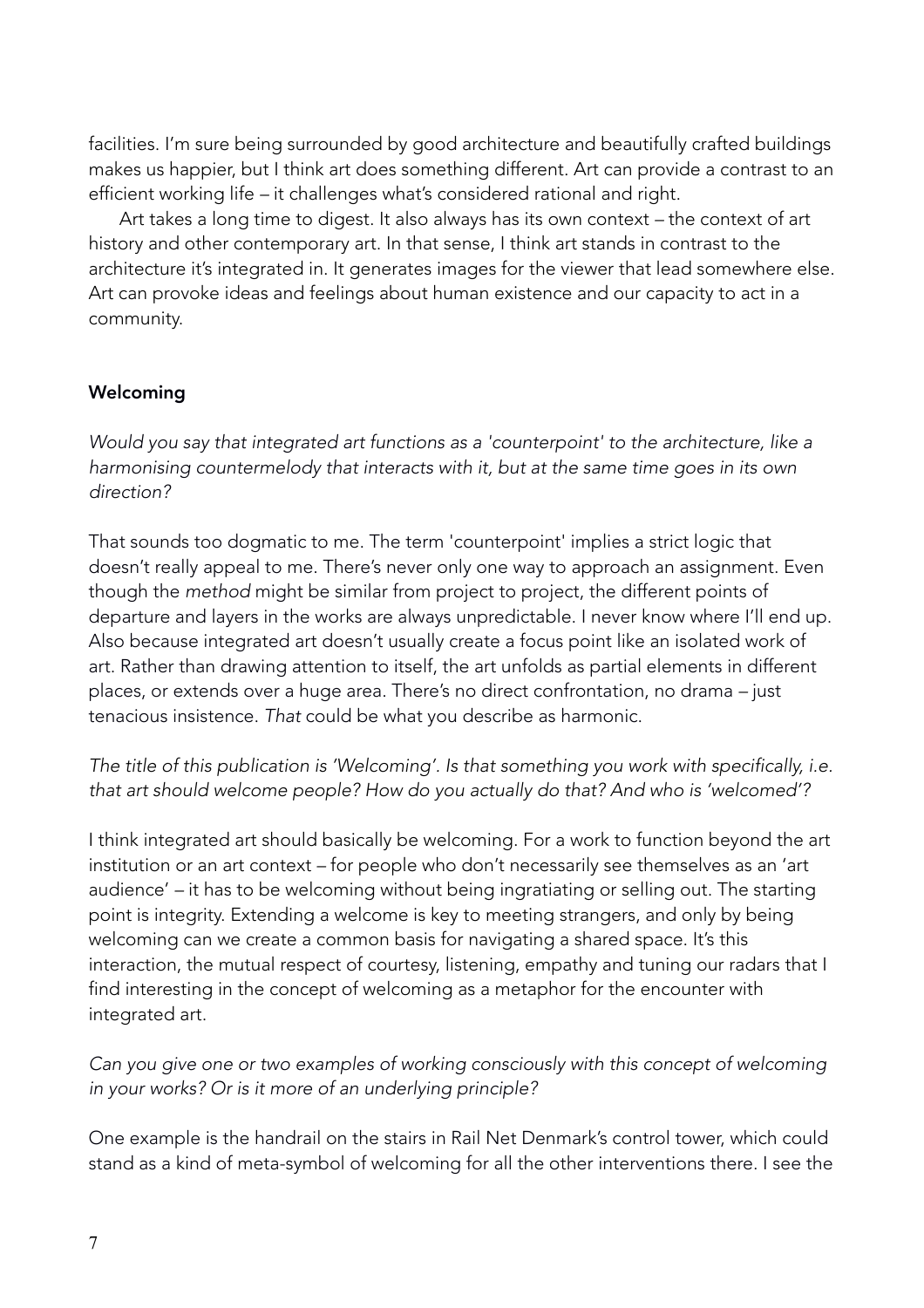facilities. I'm sure being surrounded by good architecture and beautifully crafted buildings makes us happier, but I think art does something different. Art can provide a contrast to an efficient working life *–* it challenges what's considered rational and right.

 Art takes a long time to digest. It also always has its own context *–* the context of art history and other contemporary art. In that sense, I think art stands in contrast to the architecture it's integrated in. It generates images for the viewer that lead somewhere else. Art can provoke ideas and feelings about human existence and our capacity to act in a community.

# Welcoming

*Would you say that integrated art functions as a 'counterpoint' to the architecture, like a harmonising countermelody that interacts with it, but at the same time goes in its own direction?*

That sounds too dogmatic to me. The term 'counterpoint' implies a strict logic that doesn't really appeal to me. There's never only one way to approach an assignment. Even though the *method* might be similar from project to project, the different points of departure and layers in the works are always unpredictable. I never know where I'll end up. Also because integrated art doesn't usually create a focus point like an isolated work of art. Rather than drawing attention to itself, the art unfolds as partial elements in different places, or extends over a huge area. There's no direct confrontation, no drama *–* just tenacious insistence. *That* could be what you describe as harmonic.

*The title of this publication is 'Welcoming'. Is that something you work with specifically, i.e. that art should welcome people? How do you actually do that? And who is 'welcomed'?*

I think integrated art should basically be welcoming. For a work to function beyond the art institution or an art context *–* for people who don't necessarily see themselves as an 'art audience' *–* it has to be welcoming without being ingratiating or selling out. The starting point is integrity. Extending a welcome is key to meeting strangers, and only by being welcoming can we create a common basis for navigating a shared space. It's this interaction, the mutual respect of courtesy, listening, empathy and tuning our radars that I find interesting in the concept of welcoming as a metaphor for the encounter with integrated art.

*Can you give one or two examples of working consciously with this concept of welcoming in your works? Or is it more of an underlying principle?* 

One example is the handrail on the stairs in Rail Net Denmark's control tower, which could stand as a kind of meta-symbol of welcoming for all the other interventions there. I see the